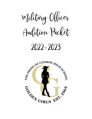Military Officer

Audition Packet

# 2022-2023

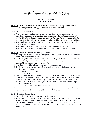Handbook Requirements for Mili Auditions

#### **ARTICLE XVIII (18) LEADERSHIP**

**Section 1.** The Military Officer(s) of this organization shall consist of any combination of the following ranks: Colonel(s), Lieutenant Colonel(s), Lieutenant(s).

**<u>Section 2.</u>** Military Officer(s):

- A. Can be any member of the Golden Girls Organization who has a minimum 3.0 cumulative grade point average at the time of auditions, who has been a member of Golden Girls for a minimum of one year, and must be a member the year preceding their audition. Is of the freshmen, sophomore, or junior classification at the time of auditions.
- B. Must not have been on SUSPENSION for demerits or disciplinary reasons during the year in which they audition.
- C. Must not hold a job that might interfere with the duties of a Military Officer.
- D. Must be in "good standing," including but not limited to their financial commitment.

**Section 3.** Manner of selection for Military Officer(s):

- A. Military Officer(s) will be selected by a panel of three (3) or more certified and impartial dance team judges and team vote.
- B. All Military Officer candidates must compete one solo (at least once) during competition season to be eligible to audition for a Military Officer position. (Candidates will be responsible for the solo competition entry fee.)
- C. The Director(s) will conduct an interview with each candidate.
- D. During auditions, each candidate will be scored accruing to the following categories:
	- 1. Judge's interview
	- 2. Military Officer Binder
	- 3. Group dance
- E. Team Vote- each veteran/ returning team member of the upcoming performance year has a single vote in the selection of the Military Officer(s). These votes will be tallied, and each candidate will be ranked according to the votes received. The final tally will be added to the total score from the judges. The team will vote based on the following:
	- 1. Team speech.
	- 2. Teaching team across the floor combination.
- F. The candidates that score the top scores (consisting of judge's interview, notebook, group dance, and team vote) will be named the Military Officer(s).

**Section 4.** Military Officer Duties:

- A. Work with the Director(s) to decide on performances.
- B. Meet with the Director(s) regularly to discuss the development and progress of the team.
- C. Maintain a good working relationship with the Director(s) and other team members.
- D. Set an example for other team members by maintaining a positive and cooperative attitude, by promoting school spirit and team unity, and by remaining calm and flexible in time of crisis.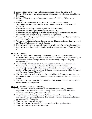- E. Attend Military Officer camp and team camp as scheduled by the Director(s).
- F. Military Officer(s) are required to attend any other camps/ workshops designated by the Director(s)
- G. Military Officer(s) are required to pay their expenses for Military Officer camp/ workshop.
- H. Represent the organizations in any function of the school or community.
- I. Shall hold inspections, check for attendance, tardiness, demerits for their squad (if applicable).
- J. Responsible for teaching under the supervision of the Director(s)
- K. Responsible for stretching/ warming-up the team each day.
- L. Responsible for keeping an up-to-date record of each squad member's demerits and reporting the total to the Director(s) each week (if applicable).
- M. Provide individual help to each member in their squad in learning and perfecting dances if needed (if applicable).
- N. Will arrive 10 minutes before any function and stay 10 minutes after any function or until the Director(s) dismiss the Military Officer(s).
- O. Responsible for keeping a notebook containing telephone numbers, schedules, rules, etc.
- P. Responsible for maintaining high standards and overseeing their squad (if applicable) at all times.

#### **Section 5.** Colonel(s)

- A. The Colonel(s) is the first Military Officer of the Golden Girls, and selection is determined by the past performance of responsibilities, academic record, danceability, the consideration of the returning members, and the Director(s) along with the judge's recommendations.
- B. The Colonel(s) is in charge at all times and reports directly to the Director(s). The Colonel(s) will be in charge in the event the Director(s) is not available.
- C. The Colonel(s) is responsible, along with the Director(s), for the choreography and teaching of the material. Other Military Officer(s) will be appointed to aid the Colonel(s) with the approval of the Director(s).
- D. The Colonel(s) must work closely with the other Military Officer(s), line members, and Director(s). It is their responsibility to set an excellent example for the team members to follow.
- E. The Director(s) may remove the Colonel(s) from their position if they do not uphold the responsibilities of their position.

#### **<u>Section 6.</u>** Lieutenant Colonel(s), Lieutenant(s)

- A. The Lieutenant Colonel(s) is the next in command behind Colonel(s). They are responsible to the Director(s) and the Colonel(s) for the performance of their team members and the Military Officer(s) under them.
- B. They (All Military Officers) will assist the Colonel(s) and Director(s) in the choreography and teaching of routines. They will also assist the Director(s) and team in the absence of the Colonel(s).
- C. They may oversee an assigned squad.
- D. They may hold squad rehearsals for the preparation of their squad members.
- E. They must work closely with the Director(s).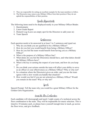- F. They are responsible for setting an excellent example for the team members to follow.
- G. The Director(s) may remove any Military Officer from their position if they do not uphold the responsibilities of their position.

## Binder Requirements

The following items need to be displayed neatly in your Military Officer Binder.

- 1. Questionnaire
- 2. Latest Grade Report
- 3. Demerit Log (Leave an empty spot for the Directors to add yours in)
- 4. Team Speech

## Questionnaire

Each question needs to be answered in at least 3 to 5 sentences and typed out.

- 1. Why do you think you are qualified to be a Military Officer?
- 2. How do you feel you would benefit from being a Military Officer?
- 3. How do you feel the team would benefit from having you as a Military Officer?
- 4. What is the purpose of a Military Officer line?
- 5. What duties do you feel the Director(s) should have, and what duties should the Military Officers have?
- 6. What is the key to earning the respect of your team, and how do you keep it?
- 7. Do you think your actions outside the team will affect your ability to serve as an officer or your effectiveness as a Military Officer? Why or why not?
- 8. In a situation where the Director(s) gives an order, and you nor the team agrees with it, how would you handle that situation?
- 9. How would you feel if you are not selected as a Military Officer? Would you remain on the team? Why or why not?

## Speech

Speech Prompt: Tell the team why you would be a great Military Officer for the Golden Girls Organization.

## Across the Floor Combination

Each candidate will choreograph and teach 2 eight counts of a technical across the floor combination to the team. They will be responsible for music selection. This is timed to 10 minutes each, so please leave yourself enough time to teach, go across the floor twice, and give feedback.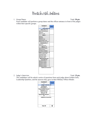# Points for Mili Auditions

1. Group Dance Total: **50 pts**.

Each candidate will perform a group dance and the officer entrance in front of the judges within their specific groups.



2. Judge's Interview Total: **35 pts.**

The candidates will be asked a series of questions from each judge about Golden Girls, Leadership Qualities, and the answers they gave in their Military Officer Binder.

| Candidate #                    | Judge #1 |  |  |  |  |  |  |  |  |
|--------------------------------|----------|--|--|--|--|--|--|--|--|
|                                |          |  |  |  |  |  |  |  |  |
| Judge's Interview-35           |          |  |  |  |  |  |  |  |  |
| Confidence/                    |          |  |  |  |  |  |  |  |  |
| Personality- 5                 |          |  |  |  |  |  |  |  |  |
| <b>Responsibility/ Overall</b> |          |  |  |  |  |  |  |  |  |
| Impression-10                  |          |  |  |  |  |  |  |  |  |
| Clear/ Concise                 |          |  |  |  |  |  |  |  |  |
| Answers-10                     |          |  |  |  |  |  |  |  |  |
| <b>Appropriate Answers-</b>    |          |  |  |  |  |  |  |  |  |
| 10                             |          |  |  |  |  |  |  |  |  |
| <b>Additional Comments:</b>    |          |  |  |  |  |  |  |  |  |
|                                |          |  |  |  |  |  |  |  |  |
|                                |          |  |  |  |  |  |  |  |  |
|                                |          |  |  |  |  |  |  |  |  |
|                                |          |  |  |  |  |  |  |  |  |
|                                |          |  |  |  |  |  |  |  |  |
| Total/ 35                      |          |  |  |  |  |  |  |  |  |
|                                |          |  |  |  |  |  |  |  |  |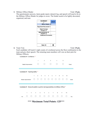#### **3.** Military Officer Binder Total: **15 pts.**

The questionnaire answers, latest grade report, demerit log, and speech will need to be in the Military Officer Binder for judges to score. The binder needs to be lightly decorated, organized, and neat.

| <b>Candidate #</b>                  | Judge #1 |  |  |  |  |  |  |
|-------------------------------------|----------|--|--|--|--|--|--|
|                                     |          |  |  |  |  |  |  |
| <b>Officer Binder-15</b>            |          |  |  |  |  |  |  |
| <b>Organized/ Decorated-5</b>       |          |  |  |  |  |  |  |
| <b>Clear/ Concise</b><br>Answers- 5 |          |  |  |  |  |  |  |
| Appropriateness of<br>Answers-5     |          |  |  |  |  |  |  |
| <b>Additional Comments:</b>         |          |  |  |  |  |  |  |
|                                     |          |  |  |  |  |  |  |
| <b>Total / 15</b>                   |          |  |  |  |  |  |  |

**4.** Team Vote Total: 25 pts. Each candidate will teach 2 eight counts of a technical across the floor combination to the team and give their speech. The returning team members will vote on their pick for Military Officers.

| Candidate #1- Confidence *                                                              |                   |  |            |                |                 |                                                                                                      |  |                 |            |             |         |    |       |
|-----------------------------------------------------------------------------------------|-------------------|--|------------|----------------|-----------------|------------------------------------------------------------------------------------------------------|--|-----------------|------------|-------------|---------|----|-------|
|                                                                                         |                   |  |            | 1              |                 | $\overline{2}$                                                                                       |  | 3               | 4          |             | 5       |    |       |
|                                                                                         | Needs Improvement |  |            |                |                 |                                                                                                      |  |                 |            |             |         |    | Great |
|                                                                                         |                   |  |            |                |                 |                                                                                                      |  |                 |            |             |         |    |       |
| Candidate #1- Teaching Ability *                                                        |                   |  |            |                |                 |                                                                                                      |  |                 |            |             |         |    |       |
|                                                                                         |                   |  | 1          | $\overline{2}$ |                 | $3 \quad 4 \quad 5$                                                                                  |  | $6\overline{6}$ |            | $7 \quad 8$ | 9       | 10 |       |
|                                                                                         | Needs Improvement |  | ( )        |                |                 | $\begin{array}{ccccccccccccccccc} \circ & \circ & \circ & \circ & \circ & \circ & \circ \end{array}$ |  |                 | $\bigcirc$ |             | $O$ $O$ | ∩  | Great |
|                                                                                         |                   |  |            |                |                 |                                                                                                      |  |                 |            |             |         |    |       |
| Candidate #1- Shows the ability to perform all responsibilities of a Military Officer * |                   |  |            |                |                 |                                                                                                      |  |                 |            |             |         |    |       |
|                                                                                         |                   |  |            |                |                 |                                                                                                      |  |                 |            |             |         |    |       |
|                                                                                         | 1                 |  | $2^{\sim}$ | $3^{\circ}$    | $4\overline{ }$ | $5^{\circ}$                                                                                          |  | $6\overline{6}$ | 7          | 8           | 9       | 10 |       |
| No                                                                                      |                   |  |            |                |                 |                                                                                                      |  |                 |            |             |         |    | Yes   |

**\*\*\* Maximum Total Points: 125\*\*\***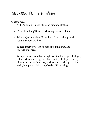# Mili Audition Clinic and Auditions

What to wear:

- Mili Audition Clinic: Morning practice clothes
- Team Teaching/ Speech: Morning practice clothes
- Director(s) Interview: Fixed hair, fixed makeup, and regular school clothes.
- Judges Interviews: Fixed hair, fixed makeup, and professional dress.
- Group Dance: Solid black high waisted leggings, black pep rally performance top, tall black socks, black jazz shoes, clear strap or no-show bra, performance makeup, red lip stain, low pony/ right part, Golden Girl earrings.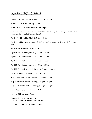Important Dates (Tentative)

February 16- Mili Audition Meeting  $\omega$  3:00pm - 4:30pm

March 4- Letter of Intent due by 3:00pm

March 25- Mili Audition Binders Due by 3:00pm

March 28-April 1- Teach 2 eight counts of Technique/give speeches during Morning Practice (times and days based off number drawn)

April 4-7- Mili Audition Clinic  $\omega$  3:00pm - 4:00pm

April 4-7- Mili Director Interviews  $\omega$  4:00pm - 5:00pm (times and days based off number drawn)

April 8- Mili Auditions @ 4:00pm-TBD

April 11- Pass the torch practice  $\omega$  3:00pm - 4:30pm

April 19- Pass the torch practice  $\omega$  4:30pm - 6:00pm

April 25- Pass the torch practice  $\omega/3:00$ pm - 4:30pm

April 27- Pass the torch practice @ 4:30pm - 6:00pm

April 29- Spring Show Dress Rehearsal @ 3:00pm - 6:00pm

April 30- Golden Girls Spring Show @ 6:00pm

May 2- Veteran/ New Mili Meeting @ 2:45pm - 3:15pm

May 9- Veteran/ New Mili Meeting @ 2:45pm - 3:15pm

May 16- Veteran/ New Mili Meeting @ 2:45pm - 3:15pm

Home Routine Choreography Date- TBD

June 6-9- Mili Galveston Camp

Summer Choreography Dates- TBD July 13-15- Rookie Camp @ 8:00am - 12:00pm

July 18-22- Team Camp @ 8:00am - 5:00pm